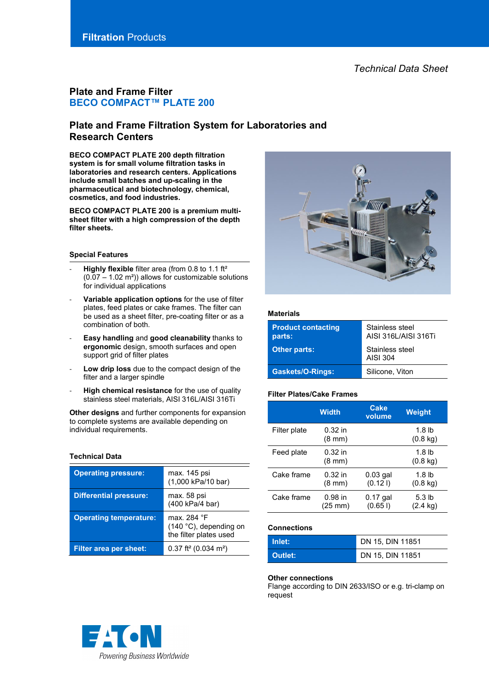# **Plate and Frame Filter BECO COMPACT™ PLATE 200**

# **Plate and Frame Filtration System for Laboratories and Research Centers**

**BECO COMPACT PLATE 200 depth filtration system is for small volume filtration tasks in laboratories and research centers. Applications include small batches and up-scaling in the pharmaceutical and biotechnology, chemical, cosmetics, and food industries.**

**BECO COMPACT PLATE 200 is a premium multisheet filter with a high compression of the depth filter sheets.**

## **Special Features**

- Highly flexible filter area (from 0.8 to 1.1 ft<sup>2</sup>  $(0.07 - 1.02 \text{ m}^2)$ ) allows for customizable solutions for individual applications
- Variable application options for the use of filter plates, feed plates or cake frames. The filter can be used as a sheet filter, pre-coating filter or as a combination of both.
- **Easy handling** and **good cleanability** thanks to **ergonomic** design, smooth surfaces and open support grid of filter plates
- Low drip loss due to the compact design of the filter and a larger spindle
- **High chemical resistance** for the use of quality stainless steel materials, AISI 316L/AISI 316Ti

**Other designs** and further components for expansion to complete systems are available depending on individual requirements.

# **Technical Data**

| <b>Operating pressure:</b>    | max. 145 psi<br>(1,000 kPa/10 bar)                              |  |
|-------------------------------|-----------------------------------------------------------------|--|
| <b>Differential pressure:</b> | max. 58 psi<br>(400 kPa/4 bar)                                  |  |
| <b>Operating temperature:</b> | max. 284 °F<br>(140 °C), depending on<br>the filter plates used |  |
| <b>Filter area per sheet:</b> | $0.37$ ft <sup>2</sup> (0.034 m <sup>2</sup> )                  |  |



## **Materials**

| <b>Product contacting</b><br>parts: | Stainless steel<br>AISI 316 / AISI 316Ti |
|-------------------------------------|------------------------------------------|
| <b>Other parts:</b>                 | Stainless steel<br>AISI 304              |
| <b>Gaskets/O-Rings:</b>             | Silicone, Viton                          |

### **Filter Plates/Cake Frames**

|              | <b>Width</b>                  | <b>Cake</b><br>volume | Weight                                  |
|--------------|-------------------------------|-----------------------|-----------------------------------------|
| Filter plate | $0.32$ in<br>$(8 \text{ mm})$ |                       | 1.8 <sub>lb</sub><br>$(0.8 \text{ kg})$ |
| Feed plate   | $0.32$ in<br>$(8 \text{ mm})$ |                       | 1.8 <sub>lb</sub><br>$(0.8 \text{ kg})$ |
| Cake frame   | $0.32$ in<br>$(8 \text{ mm})$ | $0.03$ gal<br>(0.121) | 1.8 <sub>lb</sub><br>$(0.8 \text{ kg})$ |
| Cake frame   | $0.98$ in<br>(25 mm)          | $0.17$ gal<br>(0.651) | 5.3 <sub>lb</sub><br>(2.4 kg)           |

# **Connections**

| Inlet:         | DN 15. DIN 11851 |
|----------------|------------------|
| <b>Outlet:</b> | DN 15, DIN 11851 |

#### **Other connections**

Flange according to DIN 2633/ISO or e.g. tri-clamp on request

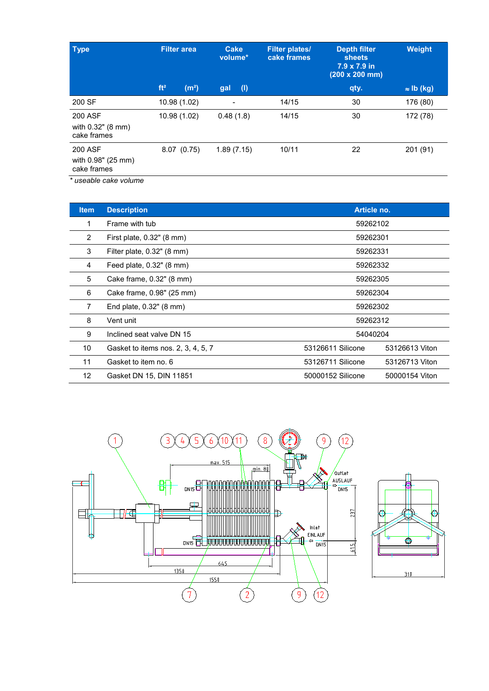| <b>Type</b>                                         | <b>Filter area</b>                   | <b>Cake</b><br>volume*             | <b>Filter plates/</b><br>cake frames | <b>Depth filter</b><br><b>sheets</b><br>7.9 x 7.9 in<br>$(200 \times 200 \text{ mm})$ | Weight            |
|-----------------------------------------------------|--------------------------------------|------------------------------------|--------------------------------------|---------------------------------------------------------------------------------------|-------------------|
|                                                     | ft <sup>2</sup><br>(m <sup>2</sup> ) | $\left( \mathbf{I} \right)$<br>gal |                                      | qty.                                                                                  | $\approx$ lb (kg) |
| 200 SF                                              | 10.98 (1.02)                         | $\overline{\phantom{0}}$           | 14/15                                | 30                                                                                    | 176 (80)          |
| <b>200 ASF</b><br>with 0.32" (8 mm)<br>cake frames  | 10.98 (1.02)                         | 0.48(1.8)                          | 14/15                                | 30                                                                                    | 172 (78)          |
| <b>200 ASF</b><br>with 0.98" (25 mm)<br>cake frames | 8.07(0.75)                           | 1.89(7.15)                         | 10/11                                | 22                                                                                    | 201 (91)          |
| * useable cake volume                               |                                      |                                    |                                      |                                                                                       |                   |

| <b>Item</b>       | <b>Description</b>                 | Article no.       |                |  |
|-------------------|------------------------------------|-------------------|----------------|--|
| 1                 | Frame with tub                     | 59262102          |                |  |
| 2                 | First plate, 0.32" (8 mm)          | 59262301          |                |  |
| 3                 | Filter plate, 0.32" (8 mm)         | 59262331          |                |  |
| 4                 | Feed plate, 0.32" (8 mm)           | 59262332          |                |  |
| 5                 | Cake frame, 0.32" (8 mm)           | 59262305          |                |  |
| 6                 | Cake frame, 0.98" (25 mm)          | 59262304          |                |  |
| $\overline{7}$    | End plate, 0.32" (8 mm)            | 59262302          |                |  |
| 8                 | Vent unit                          | 59262312          |                |  |
| 9                 | Inclined seat valve DN 15          | 54040204          |                |  |
| 10                | Gasket to items nos. 2, 3, 4, 5, 7 | 53126611 Silicone | 53126613 Viton |  |
| 11                | Gasket to item no. 6               | 53126711 Silicone | 53126713 Viton |  |
| $12 \overline{ }$ | Gasket DN 15, DIN 11851            | 50000152 Silicone | 50000154 Viton |  |